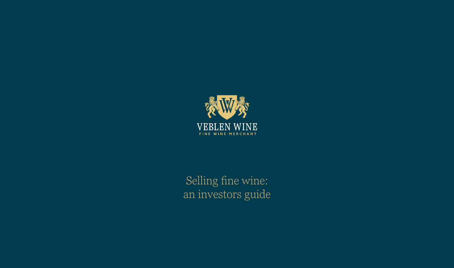

Selling fine wine: an investors guide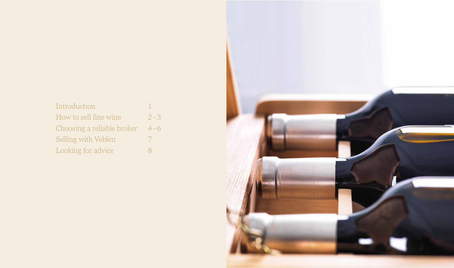## Introduction 1 How to sell fine wine 2-3 Choosing a reliable broker 4-6 Selling with Veblen 7 Looking for advice 8

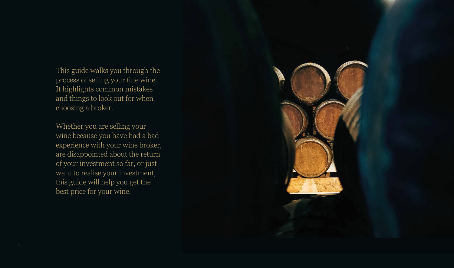This guide walks you through the process of selling your fine wine. It highlights common mistakes and things to look out for when choosing a broker.

Whether you are selling your wine because you have had a bad experience with your wine broker, are disappointed about the return of your investment so far, or just want to realise your investment, this guide will help you get the best price for your wine.

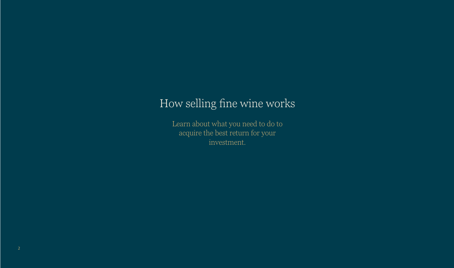Learn about what you need to do to acquire the best return for your investment.

# How selling fine wine works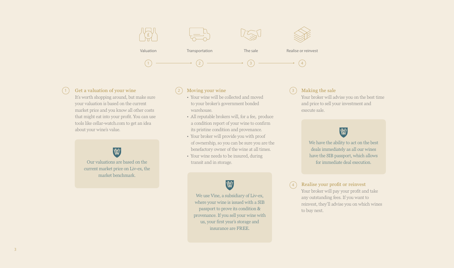It's worth shopping around, but make sure your valuation is based on the current market price and you know all other costs that might eat into your profit. You can use tools like cellar-watch.com to get an idea about your wine's value.



### Moving your wine

#### Realise your profit or reinvest  $(4)$

- Your wine will be collected and moved to your broker's government bonded warehouse.
- All reputable brokers will, for a fee, produce a condition report of your wine to confirm its pristine condition and provenance.
- Your broker will provide you with proof of ownership, so you can be sure you are the benefactory owner of the wine at all times.
- Your wine needs to be insured, during transit and in storage.

## W

### Making the sale

Your broker will advise you on the best time and price to sell your investment and execute sale.



Your broker will pay your profit and take any outstanding fees. If you want to reinvest, they'll advise you on which wines to buy next.

Realise or reinvest

 $\left(\overline{4}\right)$ 



#### 1) Get a valuation of your wine  $(2)$  Moving your wine  $(3)$

Our valuations are based on the current market price on Liv-ex, the market benchmark.

> We use Vine, a subsidiary of Liv-ex, where your wine is issued with a SIB passport to prove its condition & provenance. If you sell your wine with us, your first year's storage and insurance are FREE.

We have the ability to act on the best deals immediately as all our wines have the SIB passport, which allows for immediate deal execution.

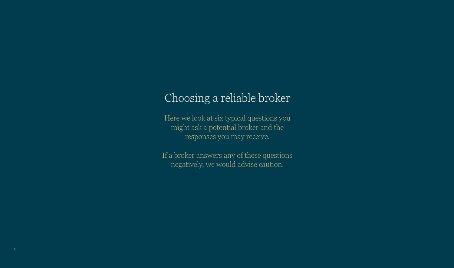Here we look at six typical questions you might ask a potential broker and the responses you may receive.

If a broker answers any of these questions negatively, we would advise caution.

## Choosing a reliable broker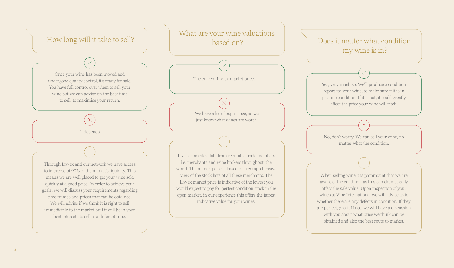

### Does it matter what condition my wine is in?

When selling wine it is paramount that we are aware of the condition as this can dramatically affect the sale value. Upon inspection of your wines at Vine International we will advise as to whether there are any defects in condition. If they are perfect, great. If not, we will have a discussion with you about what price we think can be obtained and also the best route to market.

Yes, very much so. We'll produce a condition report for your wine, to make sure if it is in pristine condition. If it is not, it could greatly affect the price your wine will fetch.

No, don't worry. We can sell your wine, no matter what the condition.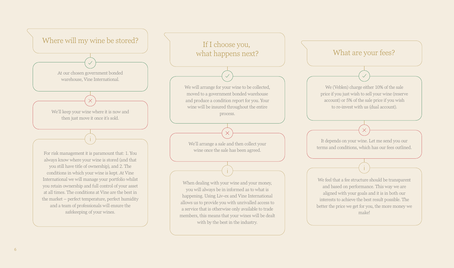When dealing with your wine and your money, you will always be in informed as to what is happening. Using Liv-ex and Vine International allows us to provide you with unrivalled access to a service that is otherwise only available to trade members, this means that your wines will be dealt with by the best in the industry.

If I choose you, what happens next?

We will arrange for your wine to be collected, moved to a government bonded warehouse and produce a condition report for you. Your wine will be insured throughout the entire process.

We'll arrange a sale and then collect your wine once the sale has been agreed.



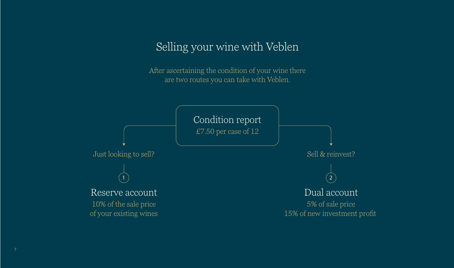Sell & reinvest? Dual account 5% of sale price  $\sqrt{2}$ 

# Selling your wine with Veblen

15% of new investment profit



After ascertaining the condition of your wine there are two routes you can take with Veblen.